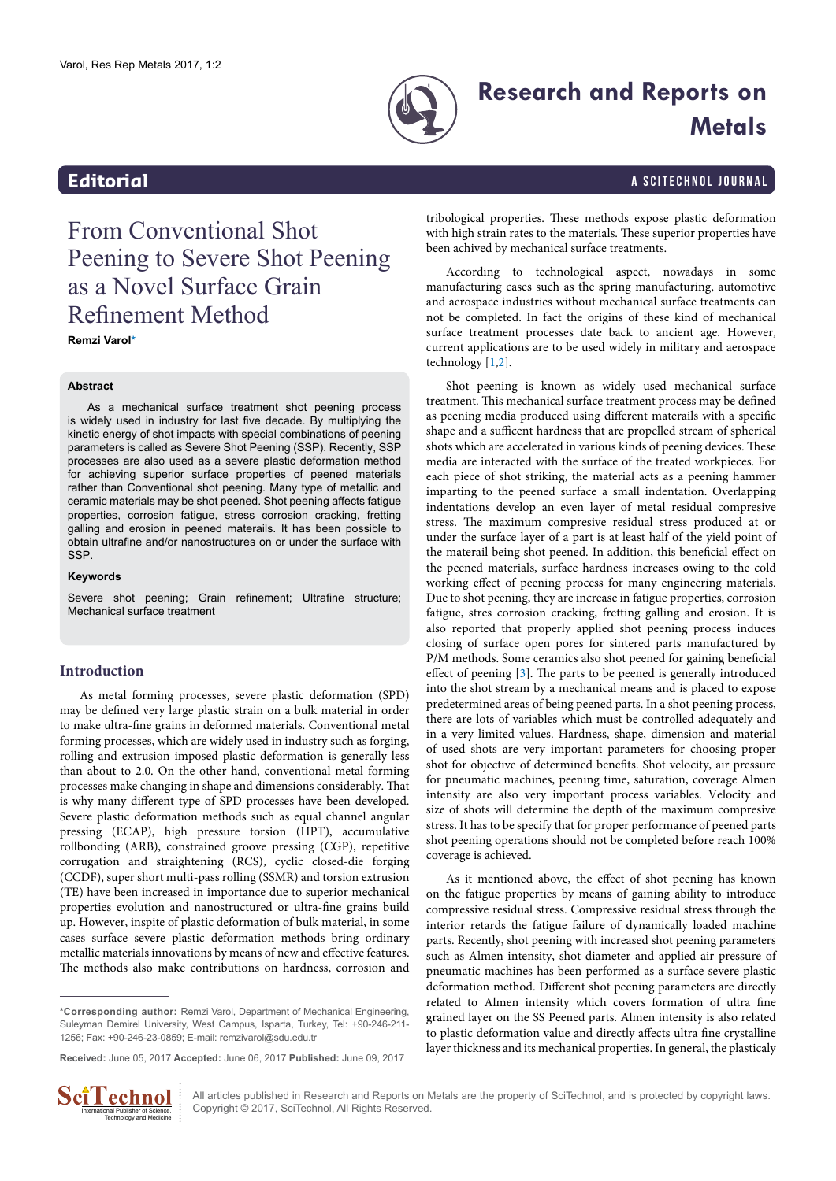

# **Research and Reports on Metals**

<span id="page-0-1"></span>**Editorial** a Scitechnol journal and the set of the set of the set of the set of the set of the set of the set of the set of the set of the set of the set of the set of the set of the set of the set of the set of the set o

# From Conventional Shot Peening to Severe Shot Peening as a Novel Surface Grain Refinement Method

**Remzi Varol[\\*](#page-0-0)**

### **Abstract**

As a mechanical surface treatment shot peening process is widely used in industry for last five decade. By multiplying the kinetic energy of shot impacts with special combinations of peening parameters is called as Severe Shot Peening (SSP). Recently, SSP processes are also used as a severe plastic deformation method for achieving superior surface properties of peened materials rather than Conventional shot peening. Many type of metallic and ceramic materials may be shot peened. Shot peening affects fatigue properties, corrosion fatigue, stress corrosion cracking, fretting galling and erosion in peened materails. It has been possible to obtain ultrafine and/or nanostructures on or under the surface with SSP.

#### **Keywords**

Severe shot peening; Grain refinement; Ultrafine structure; Mechanical surface treatment

## **Introduction**

As metal forming processes, severe plastic deformation (SPD) may be defined very large plastic strain on a bulk material in order to make ultra-fine grains in deformed materials. Conventional metal forming processes, which are widely used in industry such as forging, rolling and extrusion imposed plastic deformation is generally less than about to 2.0. On the other hand, conventional metal forming processes make changing in shape and dimensions considerably. That is why many different type of SPD processes have been developed. Severe plastic deformation methods such as equal channel angular pressing (ECAP), high pressure torsion (HPT), accumulative rollbonding (ARB), constrained groove pressing (CGP), repetitive corrugation and straightening (RCS), cyclic closed-die forging (CCDF), super short multi-pass rolling (SSMR) and torsion extrusion (TE) have been increased in importance due to superior mechanical properties evolution and nanostructured or ultra-fine grains build up. However, inspite of plastic deformation of bulk material, in some cases surface severe plastic deformation methods bring ordinary metallic materials innovations by means of new and effective features. The methods also make contributions on hardness, corrosion and

<span id="page-0-0"></span>**\*Corresponding author:** Remzi Varol, Department of Mechanical Engineering, Suleyman Demirel University, West Campus, Isparta, Turkey, Tel: +90-246-211- 1256; Fax: +90-246-23-0859; E-mail: remzivarol@sdu.edu.tr

**Received:** June 05, 2017 **Accepted:** June 06, 2017 **Published:** June 09, 2017



All articles published in Research and Reports on Metals are the property of SciTechnol, and is protected by copyright laws. Copyright © 2017, SciTechnol, All Rights Reserved.

tribological properties. These methods expose plastic deformation with high strain rates to the materials. These superior properties have been achived by mechanical surface treatments.

According to technological aspect, nowadays in some manufacturing cases such as the spring manufacturing, automotive and aerospace industries without mechanical surface treatments can not be completed. In fact the origins of these kind of mechanical surface treatment processes date back to ancient age. However, current applications are to be used widely in military and aerospace technology [[1](#page-1-0)[,2](#page-1-1)].

Shot peening is known as widely used mechanical surface treatment. This mechanical surface treatment process may be defined as peening media produced using different materails with a specific shape and a sufficent hardness that are propelled stream of spherical shots which are accelerated in various kinds of peening devices. These media are interacted with the surface of the treated workpieces. For each piece of shot striking, the material acts as a peening hammer imparting to the peened surface a small indentation. Overlapping indentations develop an even layer of metal residual compresive stress. The maximum compresive residual stress produced at or under the surface layer of a part is at least half of the yield point of the materail being shot peened. In addition, this beneficial effect on the peened materials, surface hardness increases owing to the cold working effect of peening process for many engineering materials. Due to shot peening, they are increase in fatigue properties, corrosion fatigue, stres corrosion cracking, fretting galling and erosion. It is also reported that properly applied shot peening process induces closing of surface open pores for sintered parts manufactured by P/M methods. Some ceramics also shot peened for gaining beneficial effect of peening [\[3](#page-1-2)]. The parts to be peened is generally introduced into the shot stream by a mechanical means and is placed to expose predetermined areas of being peened parts. In a shot peening process, there are lots of variables which must be controlled adequately and in a very limited values. Hardness, shape, dimension and material of used shots are very important parameters for choosing proper shot for objective of determined benefits. Shot velocity, air pressure for pneumatic machines, peening time, saturation, coverage Almen intensity are also very important process variables. Velocity and size of shots will determine the depth of the maximum compresive stress. It has to be specify that for proper performance of peened parts shot peening operations should not be completed before reach 100% coverage is achieved.

As it mentioned above, the effect of shot peening has known on the fatigue properties by means of gaining ability to introduce compressive residual stress. Compressive residual stress through the interior retards the fatigue failure of dynamically loaded machine parts. Recently, shot peening with increased shot peening parameters such as Almen intensity, shot diameter and applied air pressure of pneumatic machines has been performed as a surface severe plastic deformation method. Different shot peening parameters are directly related to Almen intensity which covers formation of ultra fine grained layer on the SS Peened parts. Almen intensity is also related to plastic deformation value and directly affects ultra fine crystalline layer thickness and its mechanical properties. In general, the plasticaly